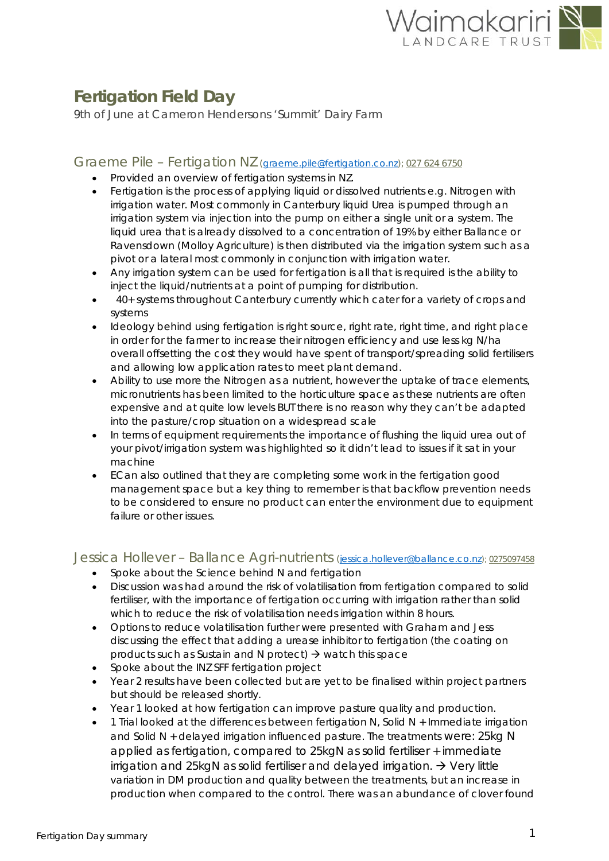

# **Fertigation Field Day**

*9th of June at Cameron Hendersons 'Summit' Dairy Farm* 

## Graeme Pile – Fertigation NZ [\(graeme.pile@fertigation.co.nz\)](mailto:graeme.pile@fertigation.co.nz); <sup>027</sup> <sup>624</sup> [6750](tel:0276246750)

- Provided an overview of fertigation systems in NZ.
- Fertigation is the process of applying liquid or dissolved nutrients e.g. Nitrogen with irrigation water. Most commonly in Canterbury liquid Urea is pumped through an irrigation system via injection into the pump on either a single unit or a system. The liquid urea that is already dissolved to a concentration of 19% by either Ballance or Ravensdown (Molloy Agriculture) is then distributed via the irrigation system such as a pivot or a lateral most commonly in conjunction with irrigation water.
- Any irrigation system can be used for fertigation is all that is required is the ability to inject the liquid/nutrients at a point of pumping for distribution.
- 40+ systems throughout Canterbury currently which cater for a variety of crops and systems
- Ideology behind using fertigation is right source, right rate, right time, and right place in order for the farmer to increase their nitrogen efficiency and use less kg N/ha overall offsetting the cost they would have spent of transport/spreading solid fertilisers and allowing low application rates to meet plant demand.
- Ability to use more the Nitrogen as a nutrient, however the uptake of trace elements, micronutrients has been limited to the horticulture space as these nutrients are often expensive and at quite low levels BUT there is no reason why they can't be adapted into the pasture/crop situation on a widespread scale
- In terms of equipment requirements the importance of flushing the liquid urea out of your pivot/irrigation system was highlighted so it didn't lead to issues if it sat in your machine
- ECan also outlined that they are completing some work in the fertigation good management space but a key thing to remember is that backflow prevention needs to be considered to ensure no product can enter the environment due to equipment failure or other issues.

## Jessica Hollever - Ballance Agri-nutrients [\(jessica.hollever@ballance.co.nz\)](mailto:jessica.hollever@ballance.co.nz); 0275097458

- Spoke about the Science behind N and fertigation
- Discussion was had around the risk of volatilisation from fertigation compared to solid fertiliser, with the importance of fertigation occurring with irrigation rather than solid which to reduce the risk of volatilisation needs irrigation within 8 hours.
- Options to reduce volatilisation further were presented with Graham and Jess discussing the effect that adding a urease inhibitor to fertigation (the coating on products such as Sustain and N protect)  $\rightarrow$  watch this space
- Spoke about the INZ SFF fertigation project
- Year 2 results have been collected but are yet to be finalised within project partners but should be released shortly.
- Year 1 looked at how fertigation can improve pasture quality and production.
- 1 Trial looked at the differences between fertigation N, Solid N + Immediate irrigation and Solid N + delayed irrigation influenced pasture. The treatments were: 25kg N applied as fertigation, compared to 25kgN as solid fertiliser + immediate irrigation and 25 kgN as solid fertiliser and delayed irrigation.  $\rightarrow$  Very little variation in DM production and quality between the treatments, but an increase in production when compared to the control. There was an abundance of clover found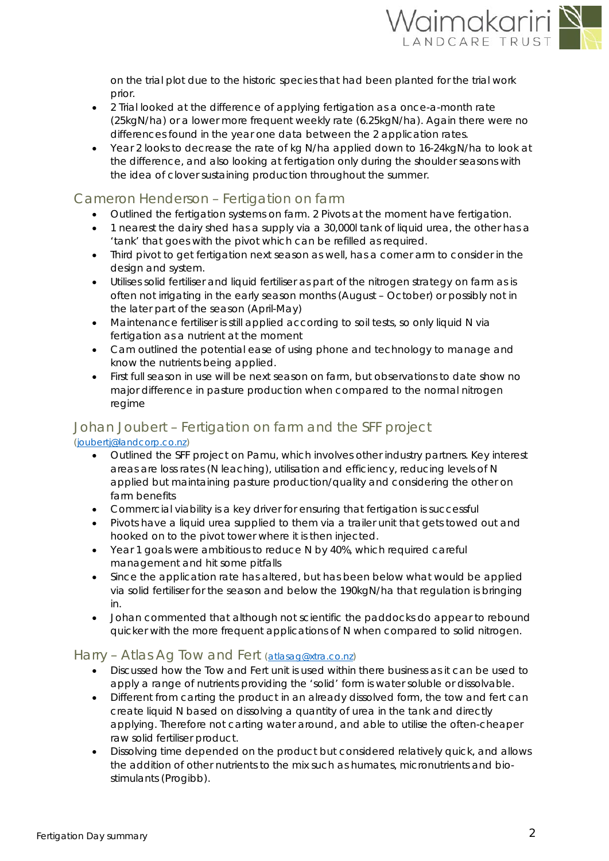

on the trial plot due to the historic species that had been planted for the trial work prior.

- 2 Trial looked at the difference of applying fertigation as a once-a-month rate (25kgN/ha) or a lower more frequent weekly rate (6.25kgN/ha). Again there were no differences found in the year one data between the 2 application rates.
- Year 2 looks to decrease the rate of kg N/ha applied down to 16-24kgN/ha to look at the difference, and also looking at fertigation only during the shoulder seasons with the idea of clover sustaining production throughout the summer.

# Cameron Henderson – Fertigation on farm

- Outlined the fertigation systems on farm. 2 Pivots at the moment have fertigation.
- 1 nearest the dairy shed has a supply via a 30,000l tank of liquid urea, the other has a 'tank' that goes with the pivot which can be refilled as required.
- Third pivot to get fertigation next season as well, has a corner arm to consider in the design and system.
- Utilises solid fertiliser and liquid fertiliser as part of the nitrogen strategy on farm as is often not irrigating in the early season months (August – October) or possibly not in the later part of the season (April-May)
- Maintenance fertiliser is still applied according to soil tests, so only liquid N via fertigation as a nutrient at the moment
- Cam outlined the potential ease of using phone and technology to manage and know the nutrients being applied.
- First full season in use will be next season on farm, but observations to date show no major difference in pasture production when compared to the normal nitrogen regime

#### Johan Joubert – Fertigation on farm and the SFF project [\(joubertj@landcorp.co.nz\)](mailto:joubertj@landcorp.co.nz)

- Outlined the SFF project on Pamu, which involves other industry partners. Key interest areas are loss rates (N leaching), utilisation and efficiency, reducing levels of N applied but maintaining pasture production/quality and considering the other on farm benefits
- Commercial viability is a key driver for ensuring that fertigation is successful
- Pivots have a liquid urea supplied to them via a trailer unit that gets towed out and hooked on to the pivot tower where it is then injected.
- Year 1 goals were ambitious to reduce N by 40%, which required careful management and hit some pitfalls
- Since the application rate has altered, but has been below what would be applied via solid fertiliser for the season and below the 190kgN/ha that regulation is bringing in.
- Johan commented that although not scientific the paddocks do appear to rebound quicker with the more frequent applications of N when compared to solid nitrogen.

# Harry – Atlas Ag Tow and Fert [\(atlasag@xtra.co.nz\)](mailto:atlasag@xtra.co.nz)

- Discussed how the Tow and Fert unit is used within there business as it can be used to apply a range of nutrients providing the 'solid' form is water soluble or dissolvable.
- Different from carting the product in an already dissolved form, the tow and fert can create liquid N based on dissolving a quantity of urea in the tank and directly applying. Therefore not carting water around, and able to utilise the often-cheaper raw solid fertiliser product.
- Dissolving time depended on the product but considered relatively quick, and allows the addition of other nutrients to the mix such as humates, micronutrients and biostimulants (Progibb).